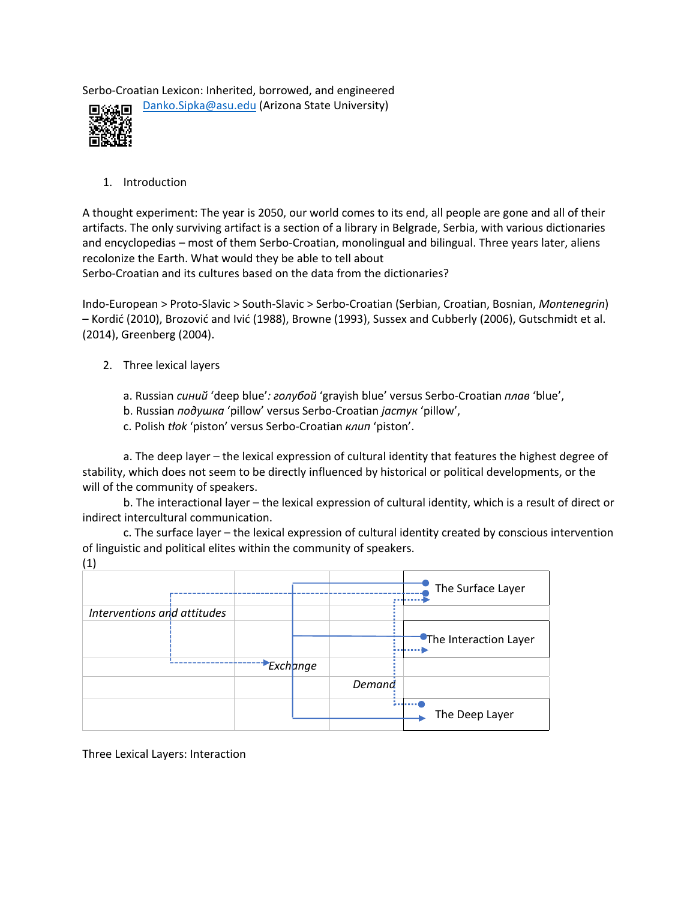Serbo-Croatian Lexicon: Inherited, borrowed, and engineered



Danko.Sipka@asu.edu (Arizona State University)

1. Introduction

A thought experiment: The year is 2050, our world comes to its end, all people are gone and all of their artifacts. The only surviving artifact is a section of a library in Belgrade, Serbia, with various dictionaries and encyclopedias – most of them Serbo-Croatian, monolingual and bilingual. Three years later, aliens recolonize the Earth. What would they be able to tell about

Serbo-Croatian and its cultures based on the data from the dictionaries?

Indo-European > Proto-Slavic > South-Slavic > Serbo-Croatian (Serbian, Croatian, Bosnian, *Montenegrin*) – Kordić (2010), Brozović and Ivić (1988), Browne (1993), Sussex and Cubberly (2006), Gutschmidt et al. (2014), Greenberg (2004).

- 2. Three lexical layers
	- a. Russian *синий* 'deep blue'*: голубой* 'grayish blue' versus Serbo-Croatian *плав* 'blue',
	- b. Russian *подушка* 'pillow' versus Serbo-Croatian *јастук* 'pillow',
	- c. Polish *tłok* 'piston' versus Serbo-Croatian *клип* 'piston'.

a. The deep layer – the lexical expression of cultural identity that features the highest degree of stability, which does not seem to be directly influenced by historical or political developments, or the will of the community of speakers.

b. The interactional layer – the lexical expression of cultural identity, which is a result of direct or indirect intercultural communication.

c. The surface layer – the lexical expression of cultural identity created by conscious intervention of linguistic and political elites within the community of speakers.

(1) The Surface Layer *Interventions and attitudes* **The Interaction Layer**  *Exchange Demand* s., . . . . 0 The Deep Layer

Three Lexical Layers: Interaction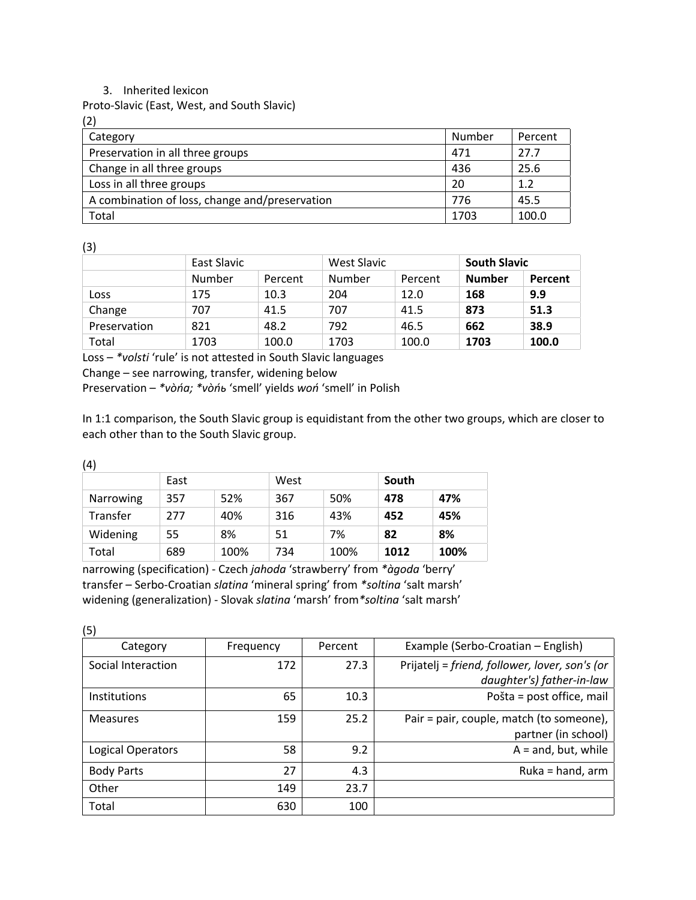## 3. Inherited lexicon

Proto-Slavic (East, West, and South Slavic)

(2)

| Category                                       | Number | Percent |
|------------------------------------------------|--------|---------|
| Preservation in all three groups               | 471    | 27.7    |
| Change in all three groups                     | 436    | 25.6    |
| Loss in all three groups                       | 20     | 1.2     |
| A combination of loss, change and/preservation | 776    | 45.5    |
| Total                                          | 1703   | 100.0   |

(3)

|              | East Slavic |         | West Slavic |         | <b>South Slavic</b> |         |
|--------------|-------------|---------|-------------|---------|---------------------|---------|
|              | Number      | Percent | Number      | Percent | <b>Number</b>       | Percent |
| Loss         | 175         | 10.3    | 204         | 12.0    | 168                 | 9.9     |
| Change       | 707         | 41.5    | 707         | 41.5    | 873                 | 51.3    |
| Preservation | 821         | 48.2    | 792         | 46.5    | 662                 | 38.9    |
| Total        | 1703        | 100.0   | 1703        | 100.0   | 1703                | 100.0   |

Loss – *\*volsti* 'rule' is not attested in South Slavic languages

Change – see narrowing, transfer, widening below

Preservation – *\*vòńa; \*vòńь* 'smell' yields *woń* 'smell' in Polish

In 1:1 comparison, the South Slavic group is equidistant from the other two groups, which are closer to each other than to the South Slavic group.

(4)

|           | East |      | West |      | South |      |
|-----------|------|------|------|------|-------|------|
| Narrowing | 357  | 52%  | 367  | 50%  | 478   | 47%  |
| Transfer  | 277  | 40%  | 316  | 43%  | 452   | 45%  |
| Widening  | 55   | 8%   | 51   | 7%   | 82    | 8%   |
| Total     | 689  | 100% | 734  | 100% | 1012  | 100% |

narrowing (specification) - Czech *jahoda* 'strawberry' from *\*àgoda* 'berry' transfer – Serbo-Croatian *slatina* 'mineral spring' from *\*soltina* 'salt marsh' widening (generalization) - Slovak *slatina* 'marsh' from*\*soltina* 'salt marsh'

(5)

| $\mathbf{v}$        |           |         |                                                |
|---------------------|-----------|---------|------------------------------------------------|
| Category            | Frequency | Percent | Example (Serbo-Croatian – English)             |
| Social Interaction  | 172       | 27.3    | Prijatelj = friend, follower, lover, son's (or |
|                     |           |         | daughter's) father-in-law                      |
| <b>Institutions</b> | 65        | 10.3    | Pošta = post office, mail                      |
| <b>Measures</b>     | 159       | 25.2    | Pair = pair, couple, match (to someone),       |
|                     |           |         | partner (in school)                            |
| Logical Operators   | 58        | 9.2     | $A =$ and, but, while                          |
| <b>Body Parts</b>   | 27        | 4.3     | Ruka = hand, arm                               |
| Other               | 149       | 23.7    |                                                |
| Total               | 630       | 100     |                                                |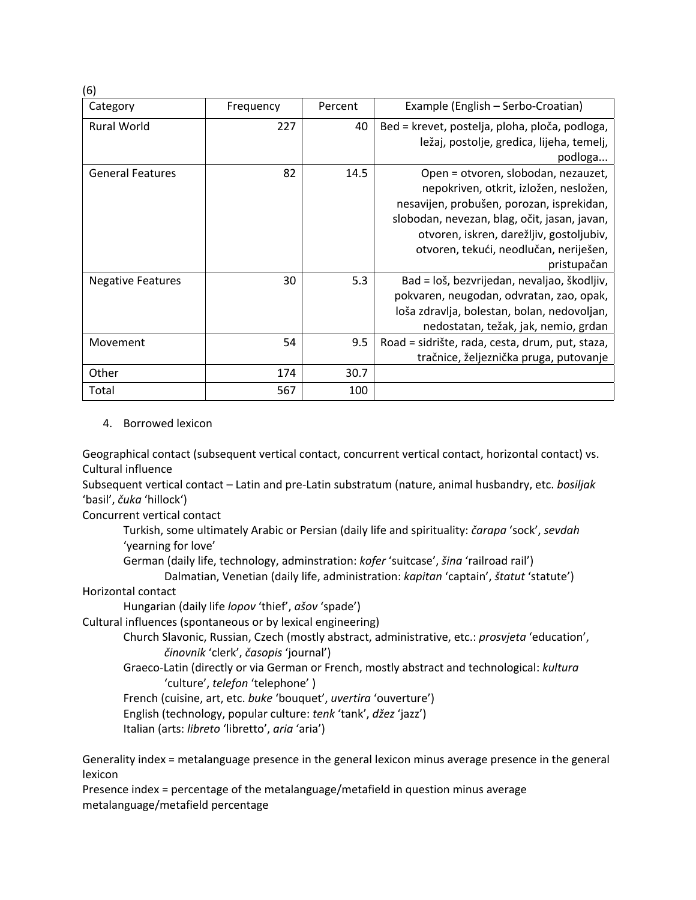| (6)                      |           |         |                                                                                                                                                                                                                                                                                 |
|--------------------------|-----------|---------|---------------------------------------------------------------------------------------------------------------------------------------------------------------------------------------------------------------------------------------------------------------------------------|
| Category                 | Frequency | Percent | Example (English – Serbo-Croatian)                                                                                                                                                                                                                                              |
| <b>Rural World</b>       | 227       | 40      | Bed = krevet, postelja, ploha, ploča, podloga,<br>ležaj, postolje, gredica, lijeha, temelj,<br>podloga                                                                                                                                                                          |
| <b>General Features</b>  | 82        | 14.5    | Open = otvoren, slobodan, nezauzet,<br>nepokriven, otkrit, izložen, nesložen,<br>nesavijen, probušen, porozan, isprekidan,<br>slobodan, nevezan, blag, očit, jasan, javan,<br>otvoren, iskren, darežljiv, gostoljubiv,<br>otvoren, tekući, neodlučan, neriješen,<br>pristupačan |
| <b>Negative Features</b> | 30        | 5.3     | Bad = loš, bezvrijedan, nevaljao, škodljiv,<br>pokvaren, neugodan, odvratan, zao, opak,<br>loša zdravlja, bolestan, bolan, nedovoljan,<br>nedostatan, težak, jak, nemio, grdan                                                                                                  |
| Movement                 | 54        | 9.5     | Road = sidrište, rada, cesta, drum, put, staza,<br>tračnice, željeznička pruga, putovanje                                                                                                                                                                                       |
| Other                    | 174       | 30.7    |                                                                                                                                                                                                                                                                                 |
| Total                    | 567       | 100     |                                                                                                                                                                                                                                                                                 |

## 4. Borrowed lexicon

Geographical contact (subsequent vertical contact, concurrent vertical contact, horizontal contact) vs. Cultural influence

Subsequent vertical contact – Latin and pre-Latin substratum (nature, animal husbandry, etc. *bosiljak* 'basil', *čuka* 'hillock')

Concurrent vertical contact

Turkish, some ultimately Arabic or Persian (daily life and spirituality: *čarapa* 'sock', *sevdah* 'yearning for love'

German (daily life, technology, adminstration: *kofer* 'suitcase', *šina* 'railroad rail')

Dalmatian, Venetian (daily life, administration: *kapitan* 'captain', *štatut* 'statute')

## Horizontal contact

Hungarian (daily life *lopov* 'thief', *ašov* 'spade')

Cultural influences (spontaneous or by lexical engineering)

Church Slavonic, Russian, Czech (mostly abstract, administrative, etc.: *prosvjeta* 'education', *činovnik* 'clerk', *časopis* 'journal')

Graeco-Latin (directly or via German or French, mostly abstract and technological: *kultura* 'culture', *telefon* 'telephone' )

French (cuisine, art, etc. *buke* 'bouquet', *uvertira* 'ouverture')

English (technology, popular culture: *tenk* 'tank', *džez* 'jazz')

Italian (arts: *libreto* 'libretto', *aria* 'aria')

Generality index = metalanguage presence in the general lexicon minus average presence in the general lexicon

Presence index = percentage of the metalanguage/metafield in question minus average metalanguage/metafield percentage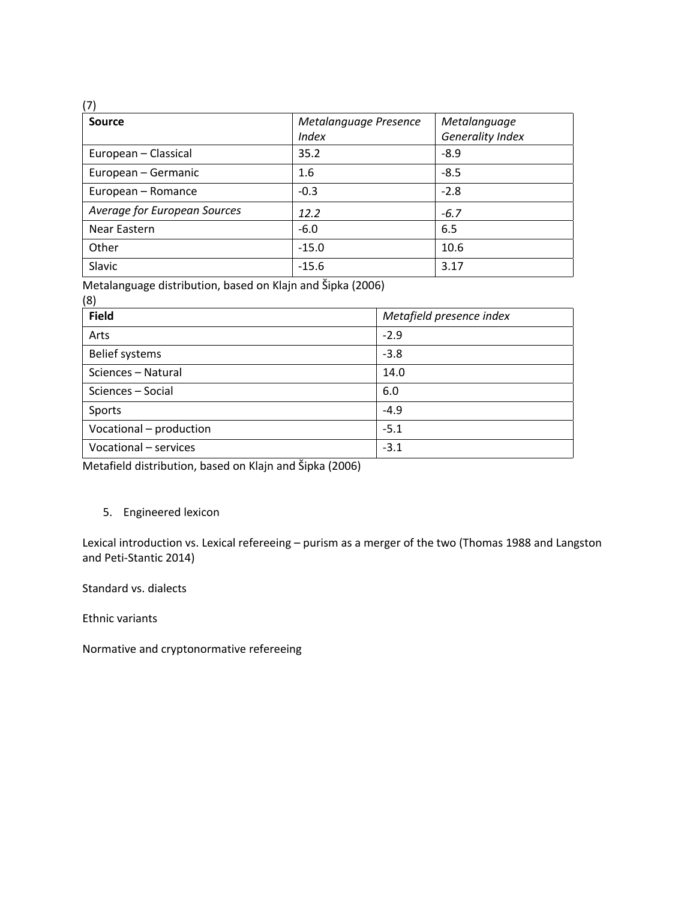| (7)                          |                       |                         |
|------------------------------|-----------------------|-------------------------|
| Source                       | Metalanguage Presence | Metalanguage            |
|                              | <i>Index</i>          | <b>Generality Index</b> |
| European - Classical         | 35.2                  | $-8.9$                  |
| European - Germanic          | 1.6                   | $-8.5$                  |
| European - Romance           | $-0.3$                | $-2.8$                  |
| Average for European Sources | 12.2                  | $-6.7$                  |
| Near Eastern                 | $-6.0$                | 6.5                     |
| Other                        | $-15.0$               | 10.6                    |
| Slavic                       | $-15.6$               | 3.17                    |

Metalanguage distribution, based on Klajn and Šipka (2006)

| (8)                     |                          |
|-------------------------|--------------------------|
| <b>Field</b>            | Metafield presence index |
| Arts                    | $-2.9$                   |
| <b>Belief systems</b>   | $-3.8$                   |
| Sciences - Natural      | 14.0                     |
| Sciences - Social       | 6.0                      |
| Sports                  | $-4.9$                   |
| Vocational - production | $-5.1$                   |
| Vocational - services   | $-3.1$                   |

Metafield distribution, based on Klajn and Šipka (2006)

## 5. Engineered lexicon

Lexical introduction vs. Lexical refereeing – purism as a merger of the two (Thomas 1988 and Langston and Peti-Stantic 2014)

Standard vs. dialects

Ethnic variants

Normative and cryptonormative refereeing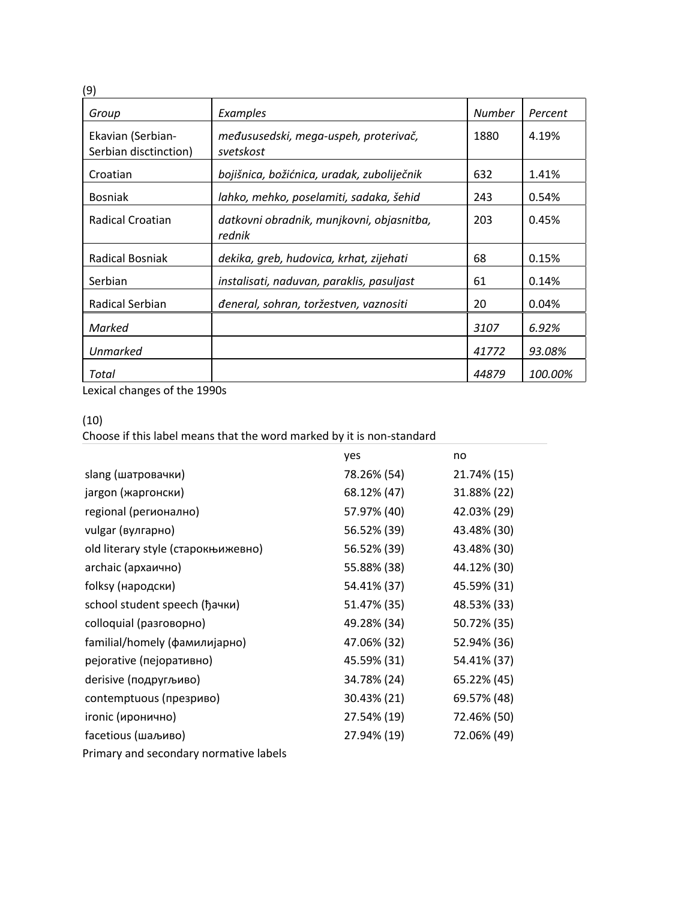| (9)                                        |                                                     |               |         |
|--------------------------------------------|-----------------------------------------------------|---------------|---------|
| Group                                      | Examples                                            | <b>Number</b> | Percent |
| Ekavian (Serbian-<br>Serbian disctinction) | međususedski, mega-uspeh, proterivač,<br>svetskost  | 1880          | 4.19%   |
| Croatian                                   | bojišnica, božićnica, uradak, zuboliječnik          | 632           | 1.41%   |
| <b>Bosniak</b>                             | lahko, mehko, poselamiti, sadaka, šehid             | 243           | 0.54%   |
| Radical Croatian                           | datkovni obradnik, munjkovni, objasnitba,<br>rednik | 203           | 0.45%   |
| Radical Bosniak                            | dekika, greb, hudovica, krhat, zijehati             | 68            | 0.15%   |
| Serbian                                    | instalisati, naduvan, paraklis, pasuljast           | 61            | 0.14%   |
| Radical Serbian                            | đeneral, sohran, toržestven, vaznositi              | 20            | 0.04%   |
| Marked                                     |                                                     | 3107          | 6.92%   |
| <b>Unmarked</b>                            |                                                     | 41772         | 93.08%  |
| Total                                      |                                                     | 44879         | 100.00% |

Lexical changes of the 1990s

Choose if this label means that the word marked by it is non-standard

|                                        | yes         | no          |
|----------------------------------------|-------------|-------------|
| slang (шатровачки)                     | 78.26% (54) | 21.74% (15) |
| jargon (жаргонски)                     | 68.12% (47) | 31.88% (22) |
| regional (регионално)                  | 57.97% (40) | 42.03% (29) |
| vulgar (вулгарно)                      | 56.52% (39) | 43.48% (30) |
| old literary style (старокњижевно)     | 56.52% (39) | 43.48% (30) |
| archaic (архаично)                     | 55.88% (38) | 44.12% (30) |
| folksy (народски)                      | 54.41% (37) | 45.59% (31) |
| school student speech (ђачки)          | 51.47% (35) | 48.53% (33) |
| colloquial (разговорно)                | 49.28% (34) | 50.72% (35) |
| familial/homely (фамилијарно)          | 47.06% (32) | 52.94% (36) |
| pejorative (пејоративно)               | 45.59% (31) | 54.41% (37) |
| derisive (подругљиво)                  | 34.78% (24) | 65.22% (45) |
| contemptuous (презриво)                | 30.43% (21) | 69.57% (48) |
| ironic (иронично)                      | 27.54% (19) | 72.46% (50) |
| facetious (шаљиво)                     | 27.94% (19) | 72.06% (49) |
| Primary and secondary normative labels |             |             |

<sup>(10)</sup>